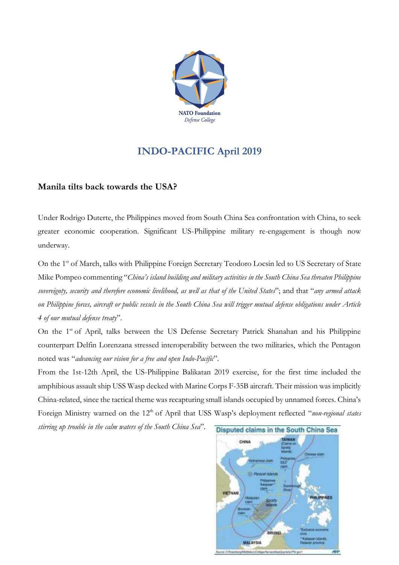

## **INDO-PACIFIC April 2019**

## **Manila tilts back towards the USA?**

Under Rodrigo Duterte, the Philippines moved from South China Sea confrontation with China, to seek greater economic cooperation. Significant US-Philippine military re-engagement is though now underway.

On the 1<sup>st</sup> of March, talks with Philippine Foreign Secretary Teodoro Locsin led to US Secretary of State Mike Pompeo commenting "*China's island building and military activities in the South China Sea threaten Philippine* sovereignty, security and therefore economic livelihood, as well as that of the United States"; and that "any armed attack on Philippine forces, aircraft or public vessels in the South China Sea will trigger mutual defense obligations under Article *4 of our mutual defense treaty*".

On the 1<sup>st</sup> of April, talks between the US Defense Secretary Patrick Shanahan and his Philippine counterpart Delfin Lorenzana stressed interoperability between the two militaries, which the Pentagon noted was "*advancing our vision for a free and open Indo-Pacific*".

From the 1st-12th April, the US-Philippine Balikatan 2019 exercise, for the first time included the amphibious assault ship USS Wasp decked with Marine Corps F-35B aircraft. Their mission was implicitly China-related, since the tactical theme was recapturing small islands occupied by unnamed forces. China's Foreign Ministry warned on the 12<sup>th</sup> of April that USS Wasp's deployment reflected "non-regional states

*stirring up trouble in the calm waters of the South China Sea*".